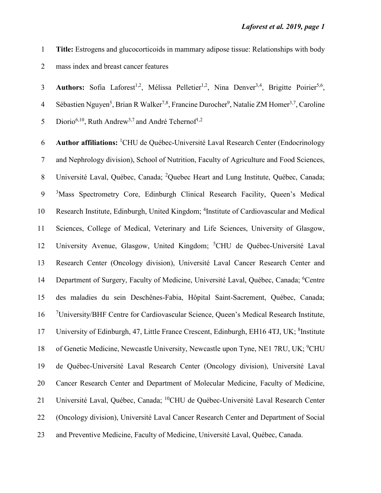1 **Title:** Estrogens and glucocorticoids in mammary adipose tissue: Relationships with body 2 mass index and breast cancer features

3 **Authors:** Sofia Laforest<sup>1,2</sup>, Mélissa Pelletier<sup>1,2</sup>, Nina Denver<sup>3,4</sup>, Brigitte Poirier<sup>5,6</sup>, 4 Sébastien Nguyen<sup>5</sup>, Brian R Walker<sup>7,8</sup>, Francine Durocher<sup>9</sup>, Natalie ZM Homer<sup>3,7</sup>, Caroline 5 Diorio<sup>6,10</sup>, Ruth Andrew<sup>3,7</sup> and André Tchernof<sup>1,2</sup>

6 **Author affiliations:** <sup>1</sup>CHU de Québec-Université Laval Research Center (Endocrinology 7 and Nephrology division), School of Nutrition, Faculty of Agriculture and Food Sciences, 8 Université Laval, Québec, Canada; <sup>2</sup>Quebec Heart and Lung Institute, Québec, Canada; 9 <sup>3</sup> <sup>3</sup>Mass Spectrometry Core, Edinburgh Clinical Research Facility, Queen's Medical 10 Research Institute, Edinburgh, United Kingdom; <sup>4</sup>Institute of Cardiovascular and Medical 11 Sciences, College of Medical, Veterinary and Life Sciences, University of Glasgow, 12 University Avenue, Glasgow, United Kingdom; <sup>5</sup>CHU de Québec-Université Laval 13 Research Center (Oncology division), Université Laval Cancer Research Center and 14 Department of Surgery, Faculty of Medicine, Université Laval, Québec, Canada; <sup>6</sup>Centre 15 des maladies du sein Deschênes-Fabia, Hôpital Saint-Sacrement, Québec, Canada; <sup>7</sup> 16 University/BHF Centre for Cardiovascular Science, Queen's Medical Research Institute, 17 University of Edinburgh, 47, Little France Crescent, Edinburgh, EH16 4TJ, UK; <sup>8</sup>Institute 18 of Genetic Medicine, Newcastle University, Newcastle upon Tyne, NE1 7RU, UK; <sup>9</sup>CHU 19 de Québec-Université Laval Research Center (Oncology division), Université Laval 20 Cancer Research Center and Department of Molecular Medicine, Faculty of Medicine, 21 Université Laval, Québec, Canada; <sup>10</sup>CHU de Québec-Université Laval Research Center 22 (Oncology division), Université Laval Cancer Research Center and Department of Social 23 and Preventive Medicine, Faculty of Medicine, Université Laval, Québec, Canada.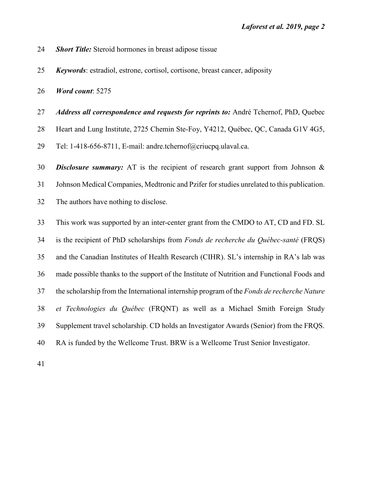- *Short Title:* Steroid hormones in breast adipose tissue
- *Keywords*: estradiol, estrone, cortisol, cortisone, breast cancer, adiposity

*Word count*: 5275

- *Address all correspondence and requests for reprints to:* André Tchernof, PhD, Quebec
- Heart and Lung Institute, 2725 Chemin Ste-Foy, Y4212, Québec, QC, Canada G1V 4G5,

Tel: 1-418-656-8711, E-mail: [andre.tchernof@criucpq.ulaval.ca.](mailto:andre.tchernof@criucpq.ulaval.ca)

*Disclosure summary:* AT is the recipient of research grant support from Johnson &

Johnson Medical Companies, Medtronic and Pzifer for studies unrelated to this publication.

The authors have nothing to disclose.

This work was supported by an inter-center grant from the CMDO to AT, CD and FD. SL

is the recipient of PhD scholarships from *Fonds de recherche du Québec-santé* (FRQS)

and the Canadian Institutes of Health Research (CIHR). SL's internship in RA's lab was

made possible thanks to the support of the Institute of Nutrition and Functional Foods and

the scholarship from the International internship program of the *Fonds de recherche Nature* 

*et Technologies du Québec* (FRQNT) as well as a Michael Smith Foreign Study

Supplement travel scholarship. CD holds an Investigator Awards (Senior) from the FRQS.

RA is funded by the Wellcome Trust. BRW is a Wellcome Trust Senior Investigator.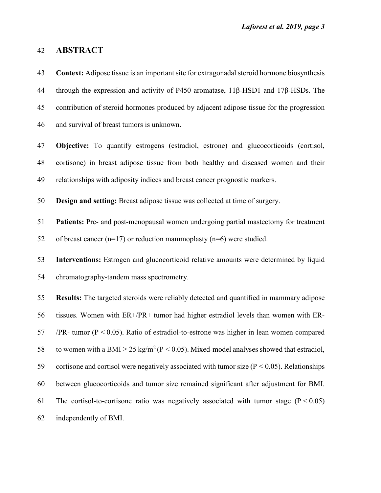#### **ABSTRACT**

 **Context:** Adipose tissue is an important site for extragonadal steroid hormone biosynthesis through the expression and activity of P450 aromatase, 11β-HSD1 and 17β-HSDs. The contribution of steroid hormones produced by adjacent adipose tissue for the progression and survival of breast tumors is unknown.

 **Objective:** To quantify estrogens (estradiol, estrone) and glucocorticoids (cortisol, cortisone) in breast adipose tissue from both healthy and diseased women and their relationships with adiposity indices and breast cancer prognostic markers.

**Design and setting:** Breast adipose tissue was collected at time of surgery.

 **Patients:** Pre- and post-menopausal women undergoing partial mastectomy for treatment 52 of breast cancer (n=17) or reduction mammoplasty (n=6) were studied.

 **Interventions:** Estrogen and glucocorticoid relative amounts were determined by liquid chromatography-tandem mass spectrometry.

 **Results:** The targeted steroids were reliably detected and quantified in mammary adipose tissues. Women with ER+/PR+ tumor had higher estradiol levels than women with ER-57 /PR- tumor ( $P < 0.05$ ). Ratio of estradiol-to-estrone was higher in lean women compared 58 to women with a BMI  $\geq$  25 kg/m<sup>2</sup> (P < 0.05). Mixed-model analyses showed that estradiol, 59 cortisone and cortisol were negatively associated with tumor size ( $P < 0.05$ ). Relationships between glucocorticoids and tumor size remained significant after adjustment for BMI. 61 The cortisol-to-cortisone ratio was negatively associated with tumor stage  $(P < 0.05)$ independently of BMI.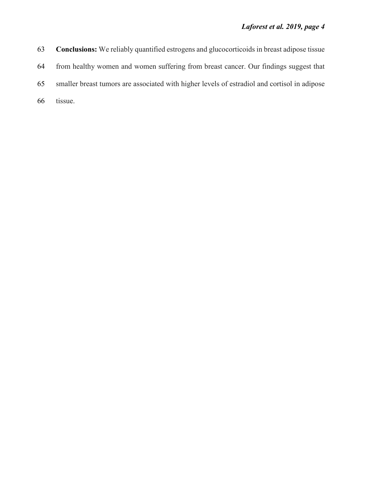**Conclusions:** We reliably quantified estrogens and glucocorticoids in breast adipose tissue from healthy women and women suffering from breast cancer. Our findings suggest that smaller breast tumors are associated with higher levels of estradiol and cortisol in adipose tissue.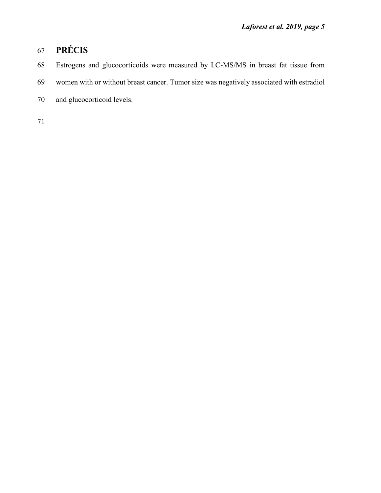## **PRÉCIS**

- Estrogens and glucocorticoids were measured by LC-MS/MS in breast fat tissue from
- women with or without breast cancer. Tumor size was negatively associated with estradiol
- and glucocorticoid levels.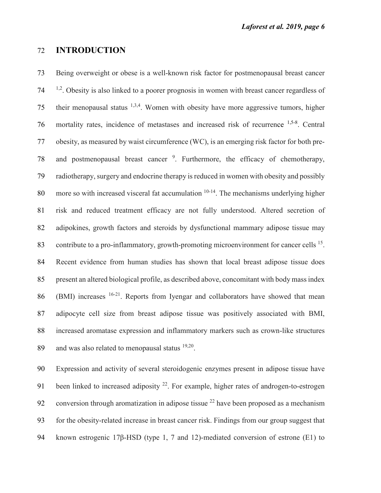#### **INTRODUCTION**

 Being overweight or obese is a well-known risk factor for postmenopausal breast cancer  $1,2$ . Obesity is also linked to a poorer prognosis in women with breast cancer regardless of 75 their menopausal status  $1,3,4$ . Women with obesity have more aggressive tumors, higher 76 mortality rates, incidence of metastases and increased risk of recurrence  $1,5-8$ . Central obesity, as measured by waist circumference (WC), is an emerging risk factor for both pre-78 and postmenopausal breast cancer . Furthermore, the efficacy of chemotherapy, radiotherapy, surgery and endocrine therapy is reduced in women with obesity and possibly 80 more so with increased visceral fat accumulation  $10-14$ . The mechanisms underlying higher risk and reduced treatment efficacy are not fully understood. Altered secretion of adipokines, growth factors and steroids by dysfunctional mammary adipose tissue may 83 contribute to a pro-inflammatory, growth-promoting microenvironment for cancer cells . Recent evidence from human studies has shown that local breast adipose tissue does present an altered biological profile, as described above, concomitant with body mass index (BMI) increases  $16-21$ . Reports from Iyengar and collaborators have showed that mean adipocyte cell size from breast adipose tissue was positively associated with BMI, increased aromatase expression and inflammatory markers such as crown-like structures 89 and was also related to menopausal status  $19,20$ .

 Expression and activity of several steroidogenic enzymes present in adipose tissue have 91 been linked to increased adiposity  $^{22}$ . For example, higher rates of androgen-to-estrogen 92 conversion through aromatization in adipose tissue  $^{22}$  have been proposed as a mechanism for the obesity-related increase in breast cancer risk. Findings from our group suggest that known estrogenic 17β-HSD (type 1, 7 and 12)-mediated conversion of estrone (E1) to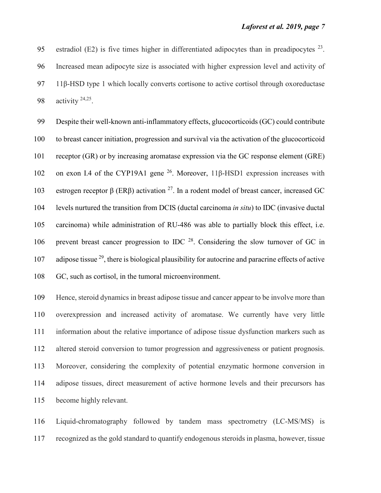95 estradiol (E2) is five times higher in differentiated adipocytes than in preadipocytes  $^{23}$ . Increased mean adipocyte size is associated with higher expression level and activity of 11β-HSD type 1 which locally converts cortisone to active cortisol through oxoreductase  $\cdot$  activity <sup>24,25</sup>.

 Despite their well-known anti-inflammatory effects, glucocorticoids (GC) could contribute to breast cancer initiation, progression and survival via the activation of the glucocorticoid receptor (GR) or by increasing aromatase expression via the GC response element (GRE) 102 on exon I.4 of the CYP19A1 gene <sup>26</sup>. Moreover, 11β-HSD1 expression increases with 103 estrogen receptor β (ERβ) activation <sup>27</sup>. In a rodent model of breast cancer, increased GC levels nurtured the transition from DCIS (ductal carcinoma *in situ*) to IDC (invasive ductal carcinoma) while administration of RU-486 was able to partially block this effect, i.e. 106 prevent breast cancer progression to IDC  $^{28}$ . Considering the slow turnover of GC in 107 adipose tissue  $^{29}$ , there is biological plausibility for autocrine and paracrine effects of active GC, such as cortisol, in the tumoral microenvironment.

 Hence, steroid dynamics in breast adipose tissue and cancer appear to be involve more than overexpression and increased activity of aromatase. We currently have very little information about the relative importance of adipose tissue dysfunction markers such as altered steroid conversion to tumor progression and aggressiveness or patient prognosis. Moreover, considering the complexity of potential enzymatic hormone conversion in adipose tissues, direct measurement of active hormone levels and their precursors has become highly relevant.

 Liquid-chromatography followed by tandem mass spectrometry (LC-MS/MS) is recognized as the gold standard to quantify endogenous steroids in plasma, however, tissue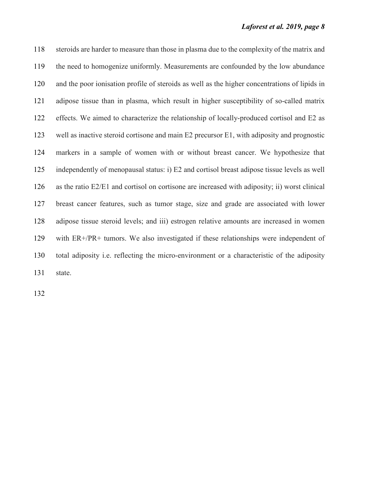steroids are harder to measure than those in plasma due to the complexity of the matrix and the need to homogenize uniformly. Measurements are confounded by the low abundance and the poor ionisation profile of steroids as well as the higher concentrations of lipids in adipose tissue than in plasma, which result in higher susceptibility of so-called matrix 122 effects. We aimed to characterize the relationship of locally-produced cortisol and E2 as well as inactive steroid cortisone and main E2 precursor E1, with adiposity and prognostic markers in a sample of women with or without breast cancer. We hypothesize that independently of menopausal status: i) E2 and cortisol breast adipose tissue levels as well as the ratio E2/E1 and cortisol on cortisone are increased with adiposity; ii) worst clinical breast cancer features, such as tumor stage, size and grade are associated with lower adipose tissue steroid levels; and iii) estrogen relative amounts are increased in women with ER+/PR+ tumors. We also investigated if these relationships were independent of total adiposity i.e. reflecting the micro-environment or a characteristic of the adiposity state.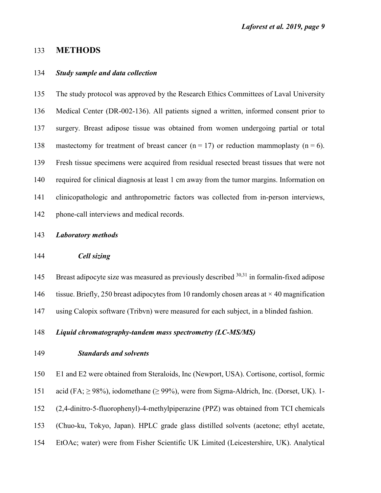#### **METHODS**

#### *Study sample and data collection*

 The study protocol was approved by the Research Ethics Committees of Laval University Medical Center (DR-002-136). All patients signed a written, informed consent prior to surgery. Breast adipose tissue was obtained from women undergoing partial or total 138 mastectomy for treatment of breast cancer  $(n = 17)$  or reduction mammoplasty  $(n = 6)$ . Fresh tissue specimens were acquired from residual resected breast tissues that were not required for clinical diagnosis at least 1 cm away from the tumor margins. Information on clinicopathologic and anthropometric factors was collected from in-person interviews, phone-call interviews and medical records.

#### *Laboratory methods*

#### *Cell sizing*

145 Breast adipocyte size was measured as previously described  $30,31$  in formalin-fixed adipose 146 tissue. Briefly, 250 breast adipocytes from 10 randomly chosen areas at  $\times$  40 magnification using Calopix software (Tribvn) were measured for each subject, in a blinded fashion.

*Liquid chromatography-tandem mass spectrometry (LC-MS/MS)*

#### *Standards and solvents*

E1 and E2 were obtained from Steraloids, Inc (Newport, USA). Cortisone, cortisol, formic

acid (FA; ≥ 98%), iodomethane (≥ 99%), were from Sigma-Aldrich, Inc. (Dorset, UK). 1-

(2,4-dinitro-5-fluorophenyl)-4-methylpiperazine (PPZ) was obtained from TCI chemicals

(Chuo-ku, Tokyo, Japan). HPLC grade glass distilled solvents (acetone; ethyl acetate,

EtOAc; water) were from Fisher Scientific UK Limited (Leicestershire, UK). Analytical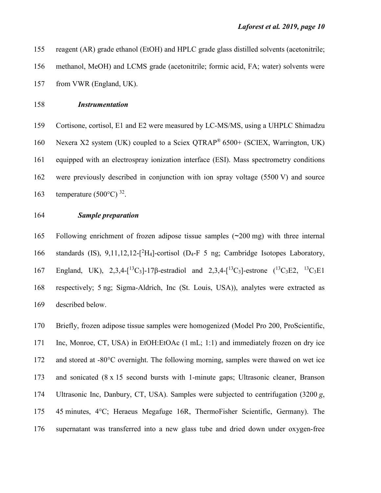| 155 | reagent (AR) grade ethanol (EtOH) and HPLC grade glass distilled solvents (acetonitrile; |
|-----|------------------------------------------------------------------------------------------|
| 156 | methanol, MeOH) and LCMS grade (acetonitrile; formic acid, FA; water) solvents were      |
| 157 | from VWR (England, UK).                                                                  |

*Instrumentation*

 Cortisone, cortisol, E1 and E2 were measured by LC-MS/MS, using a UHPLC Shimadzu 160 Nexera X2 system (UK) coupled to a Sciex QTRAP<sup>®</sup> 6500+ (SCIEX, Warrington, UK) equipped with an electrospray ionization interface (ESI). Mass spectrometry conditions were previously described in conjunction with ion spray voltage (5500 V) and source 163 temperature (500 $^{\circ}$ C)<sup>32</sup>.

*Sample preparation*

# Following enrichment of frozen adipose tissue samples (~200 mg) with three internal 166 standards (IS), 9,11,12,12-[<sup>2</sup>H<sub>4</sub>]-cortisol (D<sub>4</sub>-F 5 ng; Cambridge Isotopes Laboratory, 167 England, UK), 2,3,4-[<sup>13</sup>C<sub>3</sub>]-17β-estradiol and 2,3,4-[<sup>13</sup>C<sub>3</sub>]-estrone (<sup>13</sup>C<sub>3</sub>E2, <sup>13</sup>C<sub>3</sub>E1 respectively; 5 ng; Sigma-Aldrich, Inc (St. Louis, USA)), analytes were extracted as described below.

 Briefly, frozen adipose tissue samples were homogenized (Model Pro 200, ProScientific, Inc, Monroe, CT, USA) in EtOH:EtOAc (1 mL; 1:1) and immediately frozen on dry ice and stored at -80°C overnight. The following morning, samples were thawed on wet ice and sonicated (8 x 15 second bursts with 1-minute gaps; Ultrasonic cleaner, Branson Ultrasonic Inc, Danbury, CT, USA). Samples were subjected to centrifugation (3200 *g*, 45 minutes, 4°C; Heraeus Megafuge 16R, ThermoFisher Scientific, Germany). The supernatant was transferred into a new glass tube and dried down under oxygen-free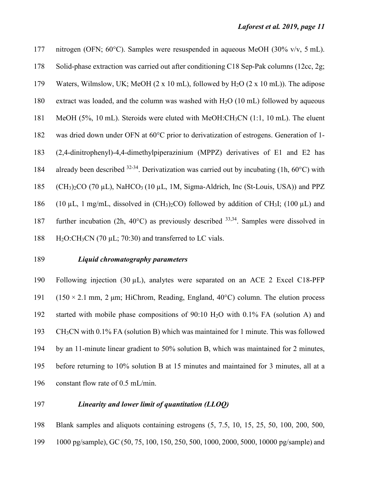177 nitrogen (OFN;  $60^{\circ}$ C). Samples were resuspended in aqueous MeOH (30% v/v, 5 mL). 178 Solid-phase extraction was carried out after conditioning C18 Sep-Pak columns (12cc, 2g; 179 Waters, Wilmslow, UK; MeOH  $(2 \times 10 \text{ mL})$ , followed by H<sub>2</sub>O  $(2 \times 10 \text{ mL})$ ). The adipose 180 extract was loaded, and the column was washed with H2O (10 mL) followed by aqueous 181 MeOH (5%, 10 mL). Steroids were eluted with MeOH:CH3CN (1:1, 10 mL). The eluent 182 was dried down under OFN at 60°C prior to derivatization of estrogens. Generation of 1- 183 (2,4-dinitrophenyl)-4,4-dimethylpiperazinium (MPPZ) derivatives of E1 and E2 has 184 already been described  $32-34$ . Derivatization was carried out by incubating (1h, 60°C) with 185 (CH<sub>3</sub>)<sub>2</sub>CO (70 µL), NaHCO<sub>3</sub> (10 µL, 1M, Sigma-Aldrich, Inc (St-Louis, USA)) and PPZ 186 (10  $\mu$ L, 1 mg/mL, dissolved in (CH<sub>3</sub>)<sub>2</sub>CO) followed by addition of CH<sub>3</sub>I; (100  $\mu$ L) and 187 further incubation (2h,  $40^{\circ}$ C) as previously described  $33,34$ . Samples were dissolved in 188  $\text{H}_2\text{O}:CH_3\text{CN}$  (70 µL; 70:30) and transferred to LC vials.

#### 189 *Liquid chromatography parameters*

190 Following injection  $(30 \mu L)$ , analytes were separated on an ACE 2 Excel C18-PFP 191 (150 × 2.1 mm, 2  $\mu$ m; HiChrom, Reading, England, 40 °C) column. The elution process started with mobile phase compositions of 90:10 H2O with 0.1% FA (solution A) and CH3CN with 0.1% FA (solution B) which was maintained for 1 minute. This was followed by an 11-minute linear gradient to 50% solution B, which was maintained for 2 minutes, before returning to 10% solution B at 15 minutes and maintained for 3 minutes, all at a constant flow rate of 0.5 mL/min.

#### 197 *Linearity and lower limit of quantitation (LLOQ)*

198 Blank samples and aliquots containing estrogens (5, 7.5, 10, 15, 25, 50, 100, 200, 500, 199 1000 pg/sample), GC (50, 75, 100, 150, 250, 500, 1000, 2000, 5000, 10000 pg/sample) and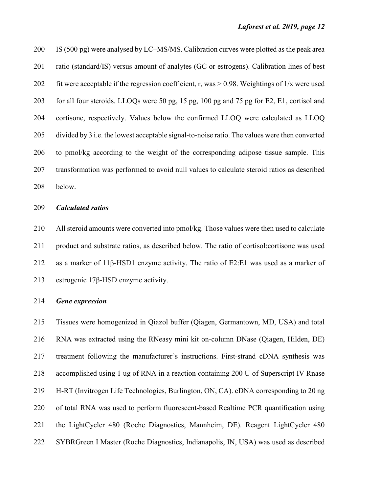IS (500 pg) were analysed by LC–MS/MS. Calibration curves were plotted as the peak area ratio (standard/IS) versus amount of analytes (GC or estrogens). Calibration lines of best 202 fit were acceptable if the regression coefficient, r, was  $> 0.98$ . Weightings of  $1/x$  were used for all four steroids. LLOQs were 50 pg, 15 pg, 100 pg and 75 pg for E2, E1, cortisol and cortisone, respectively. Values below the confirmed LLOQ were calculated as LLOQ divided by 3 i.e. the lowest acceptable signal-to-noise ratio. The values were then converted to pmol/kg according to the weight of the corresponding adipose tissue sample. This transformation was performed to avoid null values to calculate steroid ratios as described below.

#### *Calculated ratios*

210 All steroid amounts were converted into pmol/kg. Those values were then used to calculate product and substrate ratios, as described below. The ratio of cortisol:cortisone was used as a marker of 11β-HSD1 enzyme activity. The ratio of E2:E1 was used as a marker of estrogenic 17β-HSD enzyme activity.

#### *Gene expression*

 Tissues were homogenized in Qiazol buffer (Qiagen, Germantown, MD, USA) and total RNA was extracted using the RNeasy mini kit on-column DNase (Qiagen, Hilden, DE) treatment following the manufacturer's instructions. First-strand cDNA synthesis was accomplished using 1 ug of RNA in a reaction containing 200 U of Superscript IV Rnase H-RT (Invitrogen Life Technologies, Burlington, ON, CA). cDNA corresponding to 20 ng of total RNA was used to perform fluorescent-based Realtime PCR quantification using the LightCycler 480 (Roche Diagnostics, Mannheim, DE). Reagent LightCycler 480 SYBRGreen I Master (Roche Diagnostics, Indianapolis, IN, USA) was used as described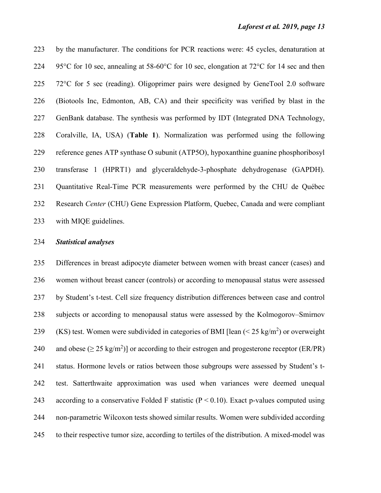by the manufacturer. The conditions for PCR reactions were: 45 cycles, denaturation at 224 95°C for 10 sec, annealing at 58-60°C for 10 sec, elongation at 72°C for 14 sec and then  $72^{\circ}$ C for 5 sec (reading). Oligoprimer pairs were designed by GeneTool 2.0 software (Biotools Inc, Edmonton, AB, CA) and their specificity was verified by blast in the GenBank database. The synthesis was performed by IDT (Integrated DNA Technology, Coralville, IA, USA) (**Table 1**). Normalization was performed using the following reference genes ATP synthase O subunit (ATP5O), hypoxanthine guanine phosphoribosyl transferase 1 (HPRT1) and glyceraldehyde-3-phosphate dehydrogenase (GAPDH). Quantitative Real-Time PCR measurements were performed by the CHU de Québec Research *Center* (CHU) Gene Expression Platform, Quebec, Canada and were compliant with MIQE guidelines.

#### *Statistical analyses*

 Differences in breast adipocyte diameter between women with breast cancer (cases) and women without breast cancer (controls) or according to menopausal status were assessed by Student's t-test. Cell size frequency distribution differences between case and control subjects or according to menopausal status were assessed by the Kolmogorov–Smirnov 239 (KS) test. Women were subdivided in categories of BMI [lean  $(< 25 \text{ kg/m}^2)$  or overweight 240 and obese ( $\geq$  25 kg/m<sup>2</sup>)] or according to their estrogen and progesterone receptor (ER/PR) status. Hormone levels or ratios between those subgroups were assessed by Student's t- test. Satterthwaite approximation was used when variances were deemed unequal 243 according to a conservative Folded F statistic  $(P < 0.10)$ . Exact p-values computed using non-parametric Wilcoxon tests showed similar results. Women were subdivided according to their respective tumor size, according to tertiles of the distribution. A mixed-model was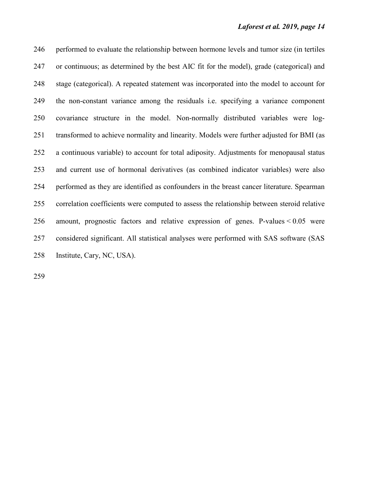performed to evaluate the relationship between hormone levels and tumor size (in tertiles or continuous; as determined by the best AIC fit for the model), grade (categorical) and stage (categorical). A repeated statement was incorporated into the model to account for the non-constant variance among the residuals i.e. specifying a variance component covariance structure in the model. Non-normally distributed variables were log- transformed to achieve normality and linearity. Models were further adjusted for BMI (as a continuous variable) to account for total adiposity. Adjustments for menopausal status and current use of hormonal derivatives (as combined indicator variables) were also performed as they are identified as confounders in the breast cancer literature. Spearman correlation coefficients were computed to assess the relationship between steroid relative amount, prognostic factors and relative expression of genes. P-values < 0.05 were considered significant. All statistical analyses were performed with SAS software (SAS Institute, Cary, NC, USA).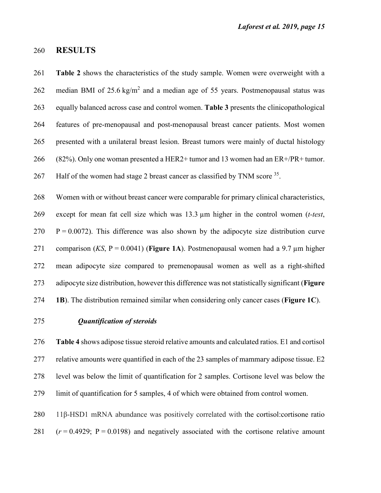#### **RESULTS**

 **Table 2** shows the characteristics of the study sample. Women were overweight with a 262 median BMI of  $25.6 \text{ kg/m}^2$  and a median age of 55 years. Postmenopausal status was equally balanced across case and control women. **Table 3** presents the clinicopathological features of pre-menopausal and post-menopausal breast cancer patients. Most women presented with a unilateral breast lesion. Breast tumors were mainly of ductal histology (82%). Only one woman presented a HER2+ tumor and 13 women had an ER+/PR+ tumor. 267 Half of the women had stage 2 breast cancer as classified by TNM score .

 Women with or without breast cancer were comparable for primary clinical characteristics, except for mean fat cell size which was 13.3 µm higher in the control women (*t-test*, P = 0.0072). This difference was also shown by the adipocyte size distribution curve comparison (*KS*, P = 0.0041) (**Figure 1A**). Postmenopausal women had a 9.7 µm higher mean adipocyte size compared to premenopausal women as well as a right-shifted adipocyte size distribution, however this difference was not statistically significant (**Figure 1B**). The distribution remained similar when considering only cancer cases (**Figure 1C**).

#### *Quantification of steroids*

 **Table 4** shows adipose tissue steroid relative amounts and calculated ratios. E1 and cortisol relative amounts were quantified in each of the 23 samples of mammary adipose tissue. E2 level was below the limit of quantification for 2 samples. Cortisone level was below the limit of quantification for 5 samples, 4 of which were obtained from control women.

 11β-HSD1 mRNA abundance was positively correlated with the cortisol:cortisone ratio 281  $(r = 0.4929; P = 0.0198)$  and negatively associated with the cortisone relative amount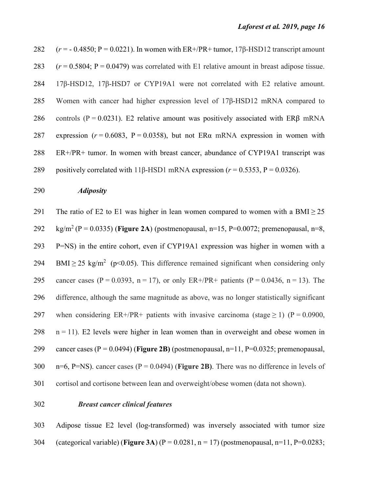|     | 282 $(r = -0.4850; P = 0.0221)$ . In women with ER+/PR+ tumor, 17 $\beta$ -HSD12 transcript amount |
|-----|----------------------------------------------------------------------------------------------------|
| 283 | $(r = 0.5804; P = 0.0479)$ was correlated with E1 relative amount in breast adipose tissue.        |
| 284 | 17β-HSD12, 17β-HSD7 or CYP19A1 were not correlated with E2 relative amount.                        |
| 285 | Women with cancer had higher expression level of 17β-HSD12 mRNA compared to                        |
| 286 | controls (P = 0.0231). E2 relative amount was positively associated with ER $\beta$ mRNA           |
| 287 | expression ( $r = 0.6083$ , $P = 0.0358$ ), but not ER $\alpha$ mRNA expression in women with      |
| 288 | $ER+/PR+$ tumor. In women with breast cancer, abundance of CYP19A1 transcript was                  |
| 289 | positively correlated with 11 $\beta$ -HSD1 mRNA expression ( $r = 0.5353$ , $P = 0.0326$ ).       |

*Adiposity*

291 The ratio of E2 to E1 was higher in lean women compared to women with a BMI  $\geq$  25 292 kg/m<sup>2</sup> (P = 0.0335) (**Figure 2A**) (postmenopausal, n=15, P=0.0072; premenopausal, n=8, P=NS) in the entire cohort, even if CYP19A1 expression was higher in women with a 294 BMI  $\geq$  25 kg/m<sup>2</sup> (p<0.05). This difference remained significant when considering only 295 cancer cases (P = 0.0393, n = 17), or only ER+/PR+ patients (P = 0.0436, n = 13). The difference, although the same magnitude as above, was no longer statistically significant 297 when considering ER+/PR+ patients with invasive carcinoma (stage  $\geq$  1) (P = 0.0900, n = 11). E2 levels were higher in lean women than in overweight and obese women in cancer cases (P = 0.0494) (**Figure 2B)** (postmenopausal, n=11, P=0.0325; premenopausal, n=6, P=NS). cancer cases (P = 0.0494) (**Figure 2B)**. There was no difference in levels of cortisol and cortisone between lean and overweight/obese women (data not shown).

#### *Breast cancer clinical features*

 Adipose tissue E2 level (log-transformed) was inversely associated with tumor size (categorical variable) (**Figure 3A**) (P = 0.0281, n = 17) (postmenopausal, n=11, P=0.0283;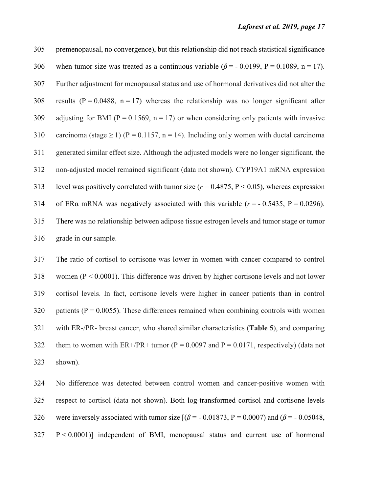305 premenopausal, no convergence), but this relationship did not reach statistical significance 306 when tumor size was treated as a continuous variable  $(\beta = -0.0199, P = 0.1089, n = 17)$ . 307 Further adjustment for menopausal status and use of hormonal derivatives did not alter the 308 results ( $P = 0.0488$ ,  $n = 17$ ) whereas the relationship was no longer significant after 309 adjusting for BMI ( $P = 0.1569$ ,  $n = 17$ ) or when considering only patients with invasive 310 carcinoma (stage  $\geq$  1) (P = 0.1157, n = 14). Including only women with ductal carcinoma 311 generated similar effect size. Although the adjusted models were no longer significant, the 312 non-adjusted model remained significant (data not shown). CYP19A1 mRNA expression 313 level was positively correlated with tumor size  $(r = 0.4875, P \le 0.05)$ , whereas expression 314 of ER $\alpha$  mRNA was negatively associated with this variable  $(r = -0.5435, P = 0.0296)$ . 315 There was no relationship between adipose tissue estrogen levels and tumor stage or tumor 316 grade in our sample.

317 The ratio of cortisol to cortisone was lower in women with cancer compared to control 318 women (P < 0.0001). This difference was driven by higher cortisone levels and not lower 319 cortisol levels. In fact, cortisone levels were higher in cancer patients than in control 320 patients ( $P = 0.0055$ ). These differences remained when combining controls with women 321 with ER-/PR- breast cancer, who shared similar characteristics (**Table 5**), and comparing 322 them to women with  $ER+/PR+$  tumor (P = 0.0097 and P = 0.0171, respectively) (data not 323 shown).

 No difference was detected between control women and cancer-positive women with respect to cortisol (data not shown). Both log-transformed cortisol and cortisone levels 326 were inversely associated with tumor size  $[(\beta = -0.01873, P = 0.0007)$  and  $(\beta = -0.05048, P = 0.0007)$ P < 0.0001)] independent of BMI, menopausal status and current use of hormonal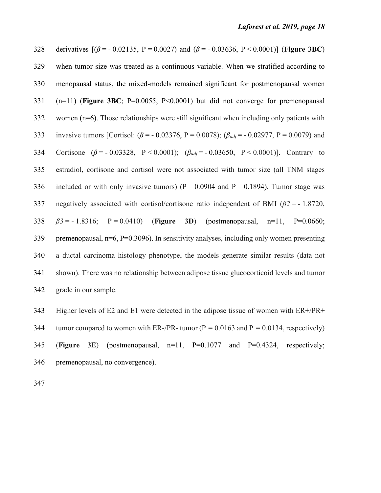derivatives [(*β* = - 0.02135, P = 0.0027) and (*β* = - 0.03636, P < 0.0001)] (**Figure 3BC**) when tumor size was treated as a continuous variable. When we stratified according to menopausal status, the mixed-models remained significant for postmenopausal women (n=11) (**Figure 3BC**; P=0.0055, P<0.0001) but did not converge for premenopausal women (n=6). Those relationships were still significant when including only patients with invasive tumors [Cortisol: (*β* = - 0.02376, P = 0.0078); (*βadj* = - 0.02977, P = 0.0079) and Cortisone (*β* = - 0.03328, P < 0.0001); (*βadj* = - 0.03650, P < 0.0001)]. Contrary to estradiol, cortisone and cortisol were not associated with tumor size (all TNM stages 336 included or with only invasive tumors) ( $P = 0.0904$  and  $P = 0.1894$ ). Tumor stage was negatively associated with cortisol/cortisone ratio independent of BMI (*β2* = - 1.8720, *β3* = - 1.8316; P = 0.0410) (**Figure 3D**) (postmenopausal, n=11, P=0.0660; premenopausal, n=6, P=0.3096). In sensitivity analyses, including only women presenting a ductal carcinoma histology phenotype, the models generate similar results (data not shown). There was no relationship between adipose tissue glucocorticoid levels and tumor grade in our sample.

 Higher levels of E2 and E1 were detected in the adipose tissue of women with ER+/PR+ 344 tumor compared to women with ER-/PR- tumor  $(P = 0.0163$  and  $P = 0.0134$ , respectively) (**Figure 3E**) (postmenopausal, n=11, P=0.1077 and P=0.4324, respectively; premenopausal, no convergence).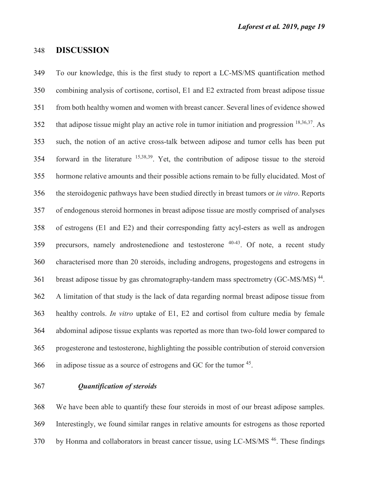#### **DISCUSSION**

 To our knowledge, this is the first study to report a LC-MS/MS quantification method combining analysis of cortisone, cortisol, E1 and E2 extracted from breast adipose tissue from both healthy women and women with breast cancer. Several lines of evidence showed 352 that adipose tissue might play an active role in tumor initiation and progression  $18,36,37$ . As such, the notion of an active cross-talk between adipose and tumor cells has been put  $f_{\text{5}}$  554 forward in the literature  $^{15,38,39}$ . Yet, the contribution of adipose tissue to the steroid hormone relative amounts and their possible actions remain to be fully elucidated. Most of the steroidogenic pathways have been studied directly in breast tumors or *in vitro*. Reports of endogenous steroid hormones in breast adipose tissue are mostly comprised of analyses of estrogens (E1 and E2) and their corresponding fatty acyl-esters as well as androgen 359 precursors, namely androstenedione and testosterone  $40-43$ . Of note, a recent study characterised more than 20 steroids, including androgens, progestogens and estrogens in 361 breast adipose tissue by gas chromatography-tandem mass spectrometry (GC-MS/MS)<sup>44</sup>. A limitation of that study is the lack of data regarding normal breast adipose tissue from healthy controls. *In vitro* uptake of E1, E2 and cortisol from culture media by female abdominal adipose tissue explants was reported as more than two-fold lower compared to progesterone and testosterone, highlighting the possible contribution of steroid conversion 366 in adipose tissue as a source of estrogens and GC for the tumor .

#### *Quantification of steroids*

 We have been able to quantify these four steroids in most of our breast adipose samples. Interestingly, we found similar ranges in relative amounts for estrogens as those reported 370 by Honma and collaborators in breast cancer tissue, using LC-MS/MS <sup>46</sup>. These findings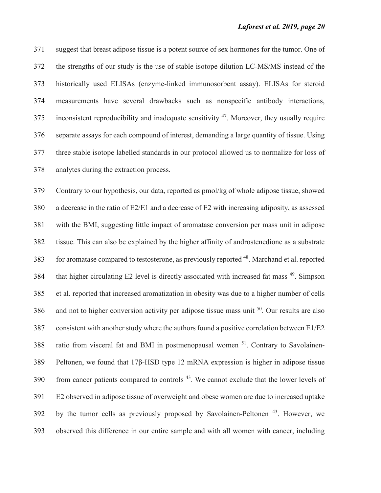suggest that breast adipose tissue is a potent source of sex hormones for the tumor. One of the strengths of our study is the use of stable isotope dilution LC-MS/MS instead of the historically used ELISAs (enzyme-linked immunosorbent assay). ELISAs for steroid measurements have several drawbacks such as nonspecific antibody interactions, inconsistent reproducibility and inadequate sensitivity  $47$ . Moreover, they usually require separate assays for each compound of interest, demanding a large quantity of tissue. Using three stable isotope labelled standards in our protocol allowed us to normalize for loss of analytes during the extraction process.

 Contrary to our hypothesis, our data, reported as pmol/kg of whole adipose tissue, showed a decrease in the ratio of E2/E1 and a decrease of E2 with increasing adiposity, as assessed with the BMI, suggesting little impact of aromatase conversion per mass unit in adipose tissue. This can also be explained by the higher affinity of androstenedione as a substrate  $f(383)$  for aromatase compared to testosterone, as previously reported  $48$ . Marchand et al. reported 384 that higher circulating E2 level is directly associated with increased fat mass . Simpson et al. reported that increased aromatization in obesity was due to a higher number of cells and not to higher conversion activity per adipose tissue mass unit <sup>50</sup>. Our results are also consistent with another study where the authors found a positive correlation between E1/E2 388 ratio from visceral fat and BMI in postmenopausal women . Contrary to Savolainen- Peltonen, we found that 17β-HSD type 12 mRNA expression is higher in adipose tissue  $f(390)$  from cancer patients compared to controls  $43$ . We cannot exclude that the lower levels of E2 observed in adipose tissue of overweight and obese women are due to increased uptake by the tumor cells as previously proposed by Savolainen-Peltonen  $43$ . However, we observed this difference in our entire sample and with all women with cancer, including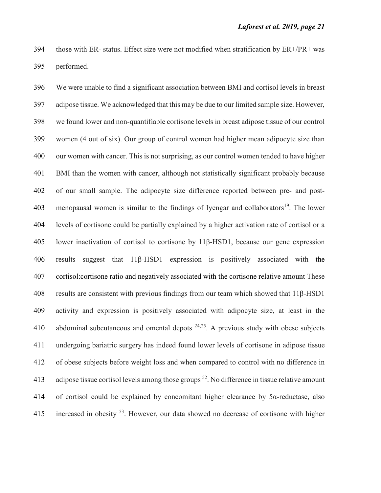those with ER- status. Effect size were not modified when stratification by ER+/PR+ was performed.

 We were unable to find a significant association between BMI and cortisol levels in breast adipose tissue. We acknowledged that this may be due to our limited sample size. However, we found lower and non-quantifiable cortisone levels in breast adipose tissue of our control women (4 out of six). Our group of control women had higher mean adipocyte size than our women with cancer. This is not surprising, as our control women tended to have higher BMI than the women with cancer, although not statistically significant probably because of our small sample. The adipocyte size difference reported between pre- and post-403 menopausal women is similar to the findings of Iyengar and collaborators<sup>19</sup>. The lower levels of cortisone could be partially explained by a higher activation rate of cortisol or a lower inactivation of cortisol to cortisone by 11β-HSD1, because our gene expression results suggest that 11β-HSD1 expression is positively associated with the cortisol:cortisone ratio and negatively associated with the cortisone relative amount These results are consistent with previous findings from our team which showed that 11β-HSD1 activity and expression is positively associated with adipocyte size, at least in the 410 abdominal subcutaneous and omental depots  $24.25$ . A previous study with obese subjects undergoing bariatric surgery has indeed found lower levels of cortisone in adipose tissue of obese subjects before weight loss and when compared to control with no difference in 413 adipose tissue cortisol levels among those groups  $^{52}$ . No difference in tissue relative amount of cortisol could be explained by concomitant higher clearance by 5α-reductase, also 415 increased in obesity . However, our data showed no decrease of cortisone with higher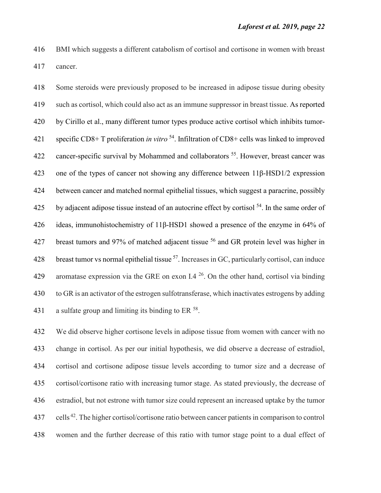BMI which suggests a different catabolism of cortisol and cortisone in women with breast cancer.

 Some steroids were previously proposed to be increased in adipose tissue during obesity such as cortisol, which could also act as an immune suppressor in breast tissue. As reported by Cirillo et al., many different tumor types produce active cortisol which inhibits tumor-421 specific CD8+ T proliferation *in vitro* <sup>54</sup>. Infiltration of CD8+ cells was linked to improved 422 cancer-specific survival by Mohammed and collaborators  $<sup>55</sup>$ . However, breast cancer was</sup> one of the types of cancer not showing any difference between 11β-HSD1/2 expression between cancer and matched normal epithelial tissues, which suggest a paracrine, possibly 425 by adjacent adipose tissue instead of an autocrine effect by cortisol  $<sup>54</sup>$ . In the same order of</sup> ideas, immunohistochemistry of 11β-HSD1 showed a presence of the enzyme in 64% of 427 breast tumors and 97% of matched adjacent tissue <sup>56</sup> and GR protein level was higher in 428 breast tumor vs normal epithelial tissue . Increases in GC, particularly cortisol, can induce 429 aromatase expression via the GRE on exon I.4  $^{26}$ . On the other hand, cortisol via binding to GR is an activator of the estrogen sulfotransferase, which inactivates estrogens by adding 431 a sulfate group and limiting its binding to ER  $^{58}$ .

 We did observe higher cortisone levels in adipose tissue from women with cancer with no change in cortisol. As per our initial hypothesis, we did observe a decrease of estradiol, cortisol and cortisone adipose tissue levels according to tumor size and a decrease of cortisol/cortisone ratio with increasing tumor stage. As stated previously, the decrease of estradiol, but not estrone with tumor size could represent an increased uptake by the tumor 437 cells . The higher cortisol/cortisone ratio between cancer patients in comparison to control women and the further decrease of this ratio with tumor stage point to a dual effect of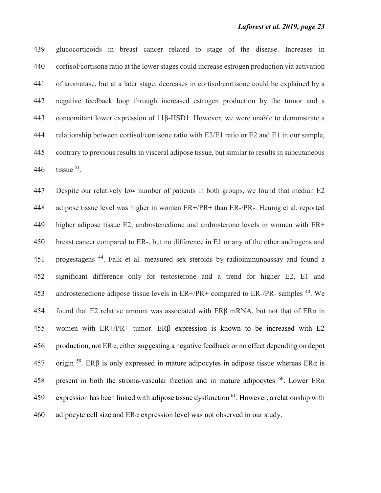glucocorticoids in breast cancer related to stage of the disease. Increases in cortisol/cortisone ratio at the lower stages could increase estrogen production via activation of aromatase, but at a later stage, decreases in cortisol/cortisone could be explained by a negative feedback loop through increased estrogen production by the tumor and a concomitant lower expression of 11β-HSD1. However, we were unable to demonstrate a relationship between cortisol/cortisone ratio with E2/E1 ratio or E2 and E1 in our sample, contrary to previous results in visceral adipose tissue, but similar to results in subcutaneous 446 tissue .

 Despite our relatively low number of patients in both groups, we found that median E2 adipose tissue level was higher in women ER+/PR+ than ER-/PR-. Hennig et al. reported higher adipose tissue E2, androstenedione and androsterone levels in women with ER+ breast cancer compared to ER-, but no difference in E1 or any of the other androgens and 451 progestagens <sup>44</sup>. Falk et al. measured sex steroids by radioimmunoassay and found a significant difference only for testosterone and a trend for higher E2, E1 and 453 androstenedione adipose tissue levels in  $ER+/PR+$  compared to  $ER-/PR-$  samples  $40$ . We 454 found that E2 relative amount was associated with  $ER\beta$  mRNA, but not that of  $ER\alpha$  in women with ER+/PR+ tumor. ERβ expression is known to be increased with E2 production, not ERα, either suggesting a negative feedback or no effect depending on depot 457 origin <sup>59</sup>. ERβ is only expressed in mature adipocytes in adipose tissue whereas ER $\alpha$  is 458 present in both the stroma-vascular fraction and in mature adipocytes . Lower ER $\alpha$ 459 expression has been linked with adipose tissue dysfunction  $^{61}$ . However, a relationship with adipocyte cell size and ERα expression level was not observed in our study.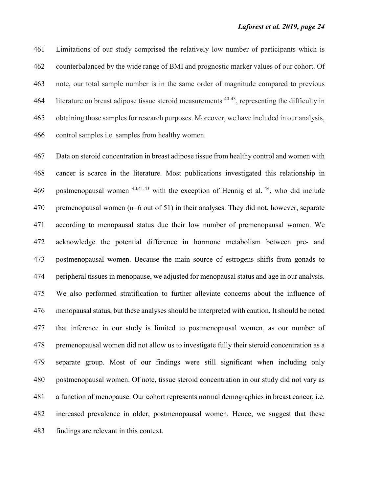Limitations of our study comprised the relatively low number of participants which is counterbalanced by the wide range of BMI and prognostic marker values of our cohort. Of note, our total sample number is in the same order of magnitude compared to previous 464 literature on breast adipose tissue steroid measurements  $40-43$ , representing the difficulty in obtaining those samples for research purposes. Moreover, we have included in our analysis, control samples i.e. samples from healthy women.

 Data on steroid concentration in breast adipose tissue from healthy control and women with cancer is scarce in the literature. Most publications investigated this relationship in 469 postmenopausal women  $40,41,43$  with the exception of Hennig et al.  $44$ , who did include 470 premenopausal women (n=6 out of 51) in their analyses. They did not, however, separate according to menopausal status due their low number of premenopausal women. We acknowledge the potential difference in hormone metabolism between pre- and postmenopausal women. Because the main source of estrogens shifts from gonads to peripheral tissues in menopause, we adjusted for menopausal status and age in our analysis. We also performed stratification to further alleviate concerns about the influence of menopausal status, but these analyses should be interpreted with caution. It should be noted that inference in our study is limited to postmenopausal women, as our number of premenopausal women did not allow us to investigate fully their steroid concentration as a separate group. Most of our findings were still significant when including only postmenopausal women. Of note, tissue steroid concentration in our study did not vary as a function of menopause. Our cohort represents normal demographics in breast cancer, i.e. increased prevalence in older, postmenopausal women. Hence, we suggest that these findings are relevant in this context.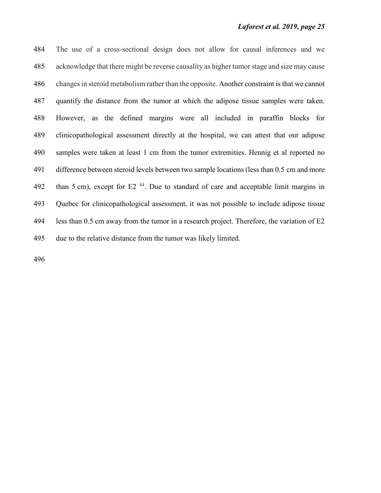The use of a cross-sectional design does not allow for causal inferences and we acknowledge that there might be reverse causality as higher tumor stage and size may cause changes in steroid metabolism rather than the opposite. Another constraint is that we cannot quantify the distance from the tumor at which the adipose tissue samples were taken. However, as the defined margins were all included in paraffin blocks for clinicopathological assessment directly at the hospital, we can attest that our adipose samples were taken at least 1 cm from the tumor extremities. Hennig et al reported no difference between steroid levels between two sample locations (less than 0.5 cm and more 492 than 5 cm), except for E2<sup>44</sup>. Due to standard of care and acceptable limit margins in Quebec for clinicopathological assessment, it was not possible to include adipose tissue less than 0.5 cm away from the tumor in a research project. Therefore, the variation of E2 due to the relative distance from the tumor was likely limited.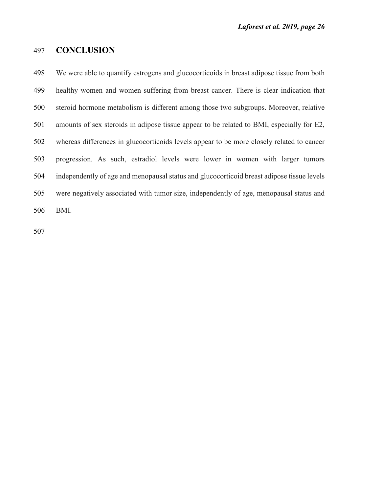### **CONCLUSION**

 We were able to quantify estrogens and glucocorticoids in breast adipose tissue from both healthy women and women suffering from breast cancer. There is clear indication that steroid hormone metabolism is different among those two subgroups. Moreover, relative amounts of sex steroids in adipose tissue appear to be related to BMI, especially for E2, whereas differences in glucocorticoids levels appear to be more closely related to cancer progression. As such, estradiol levels were lower in women with larger tumors independently of age and menopausal status and glucocorticoid breast adipose tissue levels were negatively associated with tumor size, independently of age, menopausal status and BMI.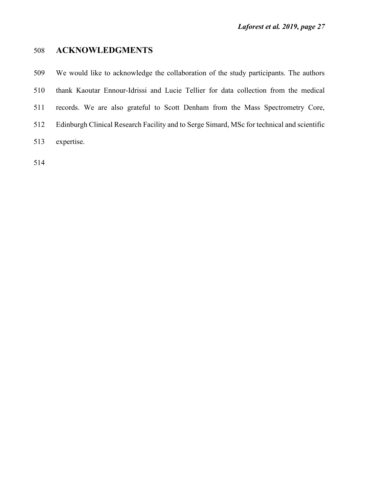### **ACKNOWLEDGMENTS**

 We would like to acknowledge the collaboration of the study participants. The authors thank Kaoutar Ennour-Idrissi and Lucie Tellier for data collection from the medical records. We are also grateful to Scott Denham from the Mass Spectrometry Core, Edinburgh Clinical Research Facility and to Serge Simard, MSc for technical and scientific expertise.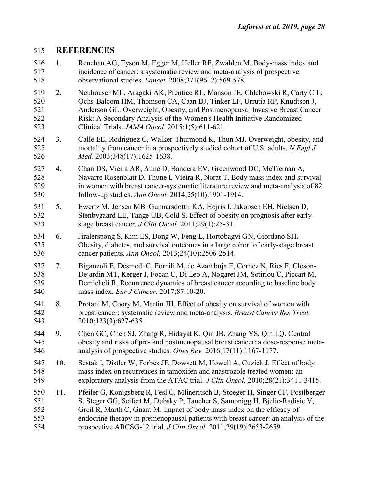### **REFERENCES**

- 1. Renehan AG, Tyson M, Egger M, Heller RF, Zwahlen M. Body-mass index and incidence of cancer: a systematic review and meta-analysis of prospective observational studies. *Lancet.* 2008;371(9612):569-578.
- 2. Neuhouser ML, Aragaki AK, Prentice RL, Manson JE, Chlebowski R, Carty C L, Ochs-Balcom HM, Thomson CA, Caan BJ, Tinker LF, Urrutia RP, Knudtson J, Anderson GL. Overweight, Obesity, and Postmenopausal Invasive Breast Cancer Risk: A Secondary Analysis of the Women's Health Initiative Randomized Clinical Trials. *JAMA Oncol.* 2015;1(5):611-621.
- 3. Calle EE, Rodriguez C, Walker-Thurmond K, Thun MJ. Overweight, obesity, and mortality from cancer in a prospectively studied cohort of U.S. adults. *N Engl J Med.* 2003;348(17):1625-1638.
- 4. Chan DS, Vieira AR, Aune D, Bandera EV, Greenwood DC, McTiernan A, Navarro Rosenblatt D, Thune I, Vieira R, Norat T. Body mass index and survival in women with breast cancer-systematic literature review and meta-analysis of 82 follow-up studies. *Ann Oncol.* 2014;25(10):1901-1914.
- 5. Ewertz M, Jensen MB, Gunnarsdottir KA, Hojris I, Jakobsen EH, Nielsen D, Stenbygaard LE, Tange UB, Cold S. Effect of obesity on prognosis after early-stage breast cancer. *J Clin Oncol.* 2011;29(1):25-31.
- 6. Jiralerspong S, Kim ES, Dong W, Feng L, Hortobagyi GN, Giordano SH. Obesity, diabetes, and survival outcomes in a large cohort of early-stage breast cancer patients. *Ann Oncol.* 2013;24(10):2506-2514.
- 7. Biganzoli E, Desmedt C, Fornili M, de Azambuja E, Cornez N, Ries F, Closon- Dejardin MT, Kerger J, Focan C, Di Leo A, Nogaret JM, Sotiriou C, Piccart M, Demicheli R. Recurrence dynamics of breast cancer according to baseline body mass index. *Eur J Cancer.* 2017;87:10-20.
- 8. Protani M, Coory M, Martin JH. Effect of obesity on survival of women with breast cancer: systematic review and meta-analysis. *Breast Cancer Res Treat.*  2010;123(3):627-635.
- 9. Chen GC, Chen SJ, Zhang R, Hidayat K, Qin JB, Zhang YS, Qin LQ. Central obesity and risks of pre- and postmenopausal breast cancer: a dose-response meta-analysis of prospective studies. *Obes Rev.* 2016;17(11):1167-1177.
- 10. Sestak I, Distler W, Forbes JF, Dowsett M, Howell A, Cuzick J. Effect of body mass index on recurrences in tamoxifen and anastrozole treated women: an exploratory analysis from the ATAC trial. *J Clin Oncol.* 2010;28(21):3411-3415.
- 11. Pfeiler G, Konigsberg R, Fesl C, Mlineritsch B, Stoeger H, Singer CF, Postlberger S, Steger GG, Seifert M, Dubsky P, Taucher S, Samonigg H, Bjelic-Radisic V, Greil R, Marth C, Gnant M. Impact of body mass index on the efficacy of endocrine therapy in premenopausal patients with breast cancer: an analysis of the prospective ABCSG-12 trial. *J Clin Oncol.* 2011;29(19):2653-2659.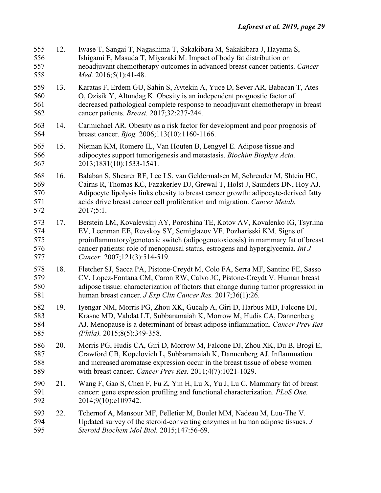| 555<br>556<br>557<br>558        | 12. | Iwase T, Sangai T, Nagashima T, Sakakibara M, Sakakibara J, Hayama S,<br>Ishigami E, Masuda T, Miyazaki M. Impact of body fat distribution on<br>neoadjuvant chemotherapy outcomes in advanced breast cancer patients. Cancer<br><i>Med.</i> 2016;5(1):41-48.                                                                                          |
|---------------------------------|-----|--------------------------------------------------------------------------------------------------------------------------------------------------------------------------------------------------------------------------------------------------------------------------------------------------------------------------------------------------------|
| 559<br>560<br>561<br>562        | 13. | Karatas F, Erdem GU, Sahin S, Aytekin A, Yuce D, Sever AR, Babacan T, Ates<br>O, Ozisik Y, Altundag K. Obesity is an independent prognostic factor of<br>decreased pathological complete response to neoadjuvant chemotherapy in breast<br>cancer patients. Breast. 2017;32:237-244.                                                                   |
| 563<br>564                      | 14. | Carmichael AR. Obesity as a risk factor for development and poor prognosis of<br>breast cancer. <i>Bjog.</i> 2006;113(10):1160-1166.                                                                                                                                                                                                                   |
| 565<br>566<br>567               | 15. | Nieman KM, Romero IL, Van Houten B, Lengyel E. Adipose tissue and<br>adipocytes support tumorigenesis and metastasis. Biochim Biophys Acta.<br>2013;1831(10):1533-1541.                                                                                                                                                                                |
| 568<br>569<br>570<br>571<br>572 | 16. | Balaban S, Shearer RF, Lee LS, van Geldermalsen M, Schreuder M, Shtein HC,<br>Cairns R, Thomas KC, Fazakerley DJ, Grewal T, Holst J, Saunders DN, Hoy AJ.<br>Adipocyte lipolysis links obesity to breast cancer growth: adipocyte-derived fatty<br>acids drive breast cancer cell proliferation and migration. Cancer Metab.<br>2017;5:1.              |
| 573<br>574<br>575<br>576<br>577 | 17. | Berstein LM, Kovalevskij AY, Poroshina TE, Kotov AV, Kovalenko IG, Tsyrlina<br>EV, Leenman EE, Revskoy SY, Semiglazov VF, Pozharisski KM. Signs of<br>proinflammatory/genotoxic switch (adipogenotoxicosis) in mammary fat of breast<br>cancer patients: role of menopausal status, estrogens and hyperglycemia. Int J<br>Cancer. 2007;121(3):514-519. |
| 578<br>579<br>580<br>581        | 18. | Fletcher SJ, Sacca PA, Pistone-Creydt M, Colo FA, Serra MF, Santino FE, Sasso<br>CV, Lopez-Fontana CM, Caron RW, Calvo JC, Pistone-Creydt V. Human breast<br>adipose tissue: characterization of factors that change during tumor progression in<br>human breast cancer. J Exp Clin Cancer Res. 2017;36(1):26.                                         |
| 582<br>583<br>584<br>585        | 19. | Iyengar NM, Morris PG, Zhou XK, Gucalp A, Giri D, Harbus MD, Falcone DJ,<br>Krasne MD, Vahdat LT, Subbaramaiah K, Morrow M, Hudis CA, Dannenberg<br>AJ. Menopause is a determinant of breast adipose inflammation. Cancer Prev Res<br>(Phila). 2015;8(5):349-358.                                                                                      |
| 586<br>587<br>588<br>589        | 20. | Morris PG, Hudis CA, Giri D, Morrow M, Falcone DJ, Zhou XK, Du B, Brogi E,<br>Crawford CB, Kopelovich L, Subbaramaiah K, Dannenberg AJ. Inflammation<br>and increased aromatase expression occur in the breast tissue of obese women<br>with breast cancer. Cancer Prev Res. 2011;4(7):1021-1029.                                                      |
| 590<br>591<br>592               | 21. | Wang F, Gao S, Chen F, Fu Z, Yin H, Lu X, Yu J, Lu C. Mammary fat of breast<br>cancer: gene expression profiling and functional characterization. PLoS One.<br>2014;9(10):e109742.                                                                                                                                                                     |
| 593<br>594<br>595               | 22. | Tchernof A, Mansour MF, Pelletier M, Boulet MM, Nadeau M, Luu-The V.<br>Updated survey of the steroid-converting enzymes in human adipose tissues. $J$<br>Steroid Biochem Mol Biol. 2015;147:56-69.                                                                                                                                                    |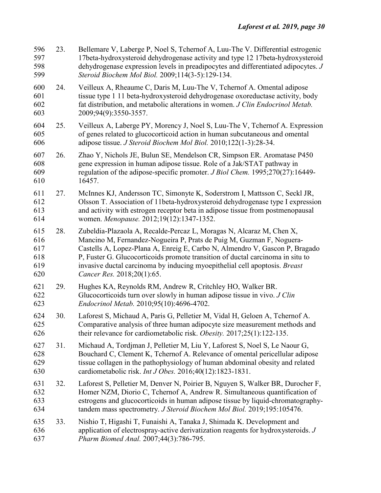| 596<br>597<br>598<br>599               | 23. | Bellemare V, Laberge P, Noel S, Tchernof A, Luu-The V. Differential estrogenic<br>17beta-hydroxysteroid dehydrogenase activity and type 12 17beta-hydroxysteroid<br>dehydrogenase expression levels in preadipocytes and differentiated adipocytes. J<br>Steroid Biochem Mol Biol. 2009;114(3-5):129-134.                                                                                                                 |
|----------------------------------------|-----|---------------------------------------------------------------------------------------------------------------------------------------------------------------------------------------------------------------------------------------------------------------------------------------------------------------------------------------------------------------------------------------------------------------------------|
| 600<br>601<br>602<br>603               | 24. | Veilleux A, Rheaume C, Daris M, Luu-The V, Tchernof A. Omental adipose<br>tissue type 1 11 beta-hydroxysteroid dehydrogenase oxoreductase activity, body<br>fat distribution, and metabolic alterations in women. J Clin Endocrinol Metab.<br>2009;94(9):3550-3557.                                                                                                                                                       |
| 604<br>605<br>606                      | 25. | Veilleux A, Laberge PY, Morency J, Noel S, Luu-The V, Tchernof A. Expression<br>of genes related to glucocorticoid action in human subcutaneous and omental<br>adipose tissue. J Steroid Biochem Mol Biol. 2010;122(1-3):28-34.                                                                                                                                                                                           |
| 607<br>608<br>609<br>610               | 26. | Zhao Y, Nichols JE, Bulun SE, Mendelson CR, Simpson ER. Aromatase P450<br>gene expression in human adipose tissue. Role of a Jak/STAT pathway in<br>regulation of the adipose-specific promoter. J Biol Chem. 1995;270(27):16449-<br>16457.                                                                                                                                                                               |
| 611<br>612<br>613<br>614               | 27. | McInnes KJ, Andersson TC, Simonyte K, Soderstrom I, Mattsson C, Seckl JR,<br>Olsson T. Association of 11beta-hydroxysteroid dehydrogenase type I expression<br>and activity with estrogen receptor beta in adipose tissue from postmenopausal<br>women. Menopause. 2012;19(12):1347-1352.                                                                                                                                 |
| 615<br>616<br>617<br>618<br>619<br>620 | 28. | Zubeldia-Plazaola A, Recalde-Percaz L, Moragas N, Alcaraz M, Chen X,<br>Mancino M, Fernandez-Nogueira P, Prats de Puig M, Guzman F, Noguera-<br>Castells A, Lopez-Plana A, Enreig E, Carbo N, Almendro V, Gascon P, Bragado<br>P, Fuster G. Glucocorticoids promote transition of ductal carcinoma in situ to<br>invasive ductal carcinoma by inducing myoepithelial cell apoptosis. Breast<br>Cancer Res. 2018;20(1):65. |
| 621<br>622<br>623                      | 29. | Hughes KA, Reynolds RM, Andrew R, Critchley HO, Walker BR.<br>Glucocorticoids turn over slowly in human adipose tissue in vivo. J Clin<br>Endocrinol Metab. 2010;95(10):4696-4702.                                                                                                                                                                                                                                        |
| 624<br>625<br>626                      | 30. | Laforest S, Michaud A, Paris G, Pelletier M, Vidal H, Geloen A, Tchernof A.<br>Comparative analysis of three human adipocyte size measurement methods and<br>their relevance for cardiometabolic risk. Obesity. 2017;25(1):122-135.                                                                                                                                                                                       |
| 627<br>628                             | 31. | Michaud A, Tordjman J, Pelletier M, Liu Y, Laforest S, Noel S, Le Naour G,<br>Bouchard C. Clement K. Tchernof A. Relevance of omental pericellular adinose                                                                                                                                                                                                                                                                |

- Bouchard C, Clement K, Tchernof A. Relevance of omental pericellular adipose tissue collagen in the pathophysiology of human abdominal obesity and related cardiometabolic risk. *Int J Obes.* 2016;40(12):1823-1831.
- 32. Laforest S, Pelletier M, Denver N, Poirier B, Nguyen S, Walker BR, Durocher F, Homer NZM, Diorio C, Tchernof A, Andrew R. Simultaneous quantification of estrogens and glucocorticoids in human adipose tissue by liquid-chromatography-tandem mass spectrometry. *J Steroid Biochem Mol Biol.* 2019;195:105476.
- 33. Nishio T, Higashi T, Funaishi A, Tanaka J, Shimada K. Development and application of electrospray-active derivatization reagents for hydroxysteroids. *J Pharm Biomed Anal.* 2007;44(3):786-795.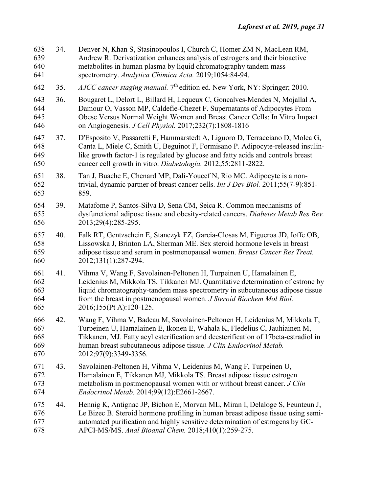| 638<br>639<br>640<br>641        | 34. | Denver N, Khan S, Stasinopoulos I, Church C, Homer ZM N, MacLean RM,<br>Andrew R. Derivatization enhances analysis of estrogens and their bioactive<br>metabolites in human plasma by liquid chromatography tandem mass<br>spectrometry. Analytica Chimica Acta. 2019;1054:84-94.                                                            |
|---------------------------------|-----|----------------------------------------------------------------------------------------------------------------------------------------------------------------------------------------------------------------------------------------------------------------------------------------------------------------------------------------------|
| 642                             | 35. | AJCC cancer staging manual. 7 <sup>th</sup> edition ed. New York, NY: Springer; 2010.                                                                                                                                                                                                                                                        |
| 643<br>644<br>645<br>646        | 36. | Bougaret L, Delort L, Billard H, Lequeux C, Goncalves-Mendes N, Mojallal A,<br>Damour O, Vasson MP, Caldefie-Chezet F. Supernatants of Adipocytes From<br>Obese Versus Normal Weight Women and Breast Cancer Cells: In Vitro Impact<br>on Angiogenesis. J Cell Physiol. 2017;232(7):1808-1816                                                |
| 647<br>648<br>649<br>650        | 37. | D'Esposito V, Passaretti F, Hammarstedt A, Liguoro D, Terracciano D, Molea G,<br>Canta L, Miele C, Smith U, Beguinot F, Formisano P. Adipocyte-released insulin-<br>like growth factor-1 is regulated by glucose and fatty acids and controls breast<br>cancer cell growth in vitro. Diabetologia. 2012;55:2811-2822.                        |
| 651<br>652<br>653               | 38. | Tan J, Buache E, Chenard MP, Dali-Youcef N, Rio MC. Adipocyte is a non-<br>trivial, dynamic partner of breast cancer cells. Int J Dev Biol. 2011;55(7-9):851-<br>859.                                                                                                                                                                        |
| 654<br>655<br>656               | 39. | Matafome P, Santos-Silva D, Sena CM, Seica R. Common mechanisms of<br>dysfunctional adipose tissue and obesity-related cancers. Diabetes Metab Res Rev.<br>2013;29(4):285-295.                                                                                                                                                               |
| 657<br>658<br>659<br>660        | 40. | Falk RT, Gentzschein E, Stanczyk FZ, Garcia-Closas M, Figueroa JD, Ioffe OB,<br>Lissowska J, Brinton LA, Sherman ME. Sex steroid hormone levels in breast<br>adipose tissue and serum in postmenopausal women. Breast Cancer Res Treat.<br>2012;131(1):287-294.                                                                              |
| 661<br>662<br>663<br>664<br>665 | 41. | Vihma V, Wang F, Savolainen-Peltonen H, Turpeinen U, Hamalainen E,<br>Leidenius M, Mikkola TS, Tikkanen MJ. Quantitative determination of estrone by<br>liquid chromatography-tandem mass spectrometry in subcutaneous adipose tissue<br>from the breast in postmenopausal women. J Steroid Biochem Mol Biol.<br>2016;155(Pt A):120-125.     |
| 666<br>667<br>668<br>669<br>670 | 42. | Wang F, Vihma V, Badeau M, Savolainen-Peltonen H, Leidenius M, Mikkola T,<br>Turpeinen U, Hamalainen E, Ikonen E, Wahala K, Fledelius C, Jauhiainen M,<br>Tikkanen, MJ. Fatty acyl esterification and deesterification of 17beta-estradiol in<br>human breast subcutaneous adipose tissue. J Clin Endocrinol Metab.<br>2012;97(9):3349-3356. |
| 671<br>672<br>673<br>674        | 43. | Savolainen-Peltonen H, Vihma V, Leidenius M, Wang F, Turpeinen U,<br>Hamalainen E, Tikkanen MJ, Mikkola TS. Breast adipose tissue estrogen<br>metabolism in postmenopausal women with or without breast cancer. J Clin<br>Endocrinol Metab. 2014;99(12):E2661-2667.                                                                          |
| 675<br>676<br>677<br>678        | 44. | Hennig K, Antignac JP, Bichon E, Morvan ML, Miran I, Delaloge S, Feunteun J,<br>Le Bizec B. Steroid hormone profiling in human breast adipose tissue using semi-<br>automated purification and highly sensitive determination of estrogens by GC-<br>APCI-MS/MS. Anal Bioanal Chem. 2018;410(1):259-275.                                     |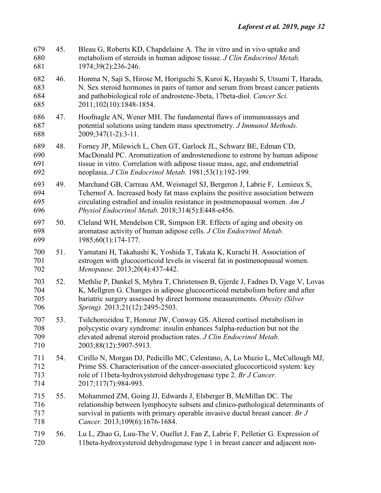| 679<br>680<br>681        | 45. | Bleau G, Roberts KD, Chapdelaine A. The in vitro and in vivo uptake and<br>metabolism of steroids in human adipose tissue. J Clin Endocrinol Metab.<br>1974;39(2):236-246.                                                                                                                   |
|--------------------------|-----|----------------------------------------------------------------------------------------------------------------------------------------------------------------------------------------------------------------------------------------------------------------------------------------------|
| 682<br>683<br>684<br>685 | 46. | Honma N, Saji S, Hirose M, Horiguchi S, Kuroi K, Hayashi S, Utsumi T, Harada,<br>N. Sex steroid hormones in pairs of tumor and serum from breast cancer patients<br>and pathobiological role of androstene-3beta, 17beta-diol. Cancer Sci.<br>2011;102(10):1848-1854.                        |
| 686<br>687<br>688        | 47. | Hoofnagle AN, Wener MH. The fundamental flaws of immunoassays and<br>potential solutions using tandem mass spectrometry. <i>J Immunol Methods</i> .<br>2009;347(1-2):3-11.                                                                                                                   |
| 689<br>690<br>691<br>692 | 48. | Forney JP, Milewich L, Chen GT, Garlock JL, Schwarz BE, Edman CD,<br>MacDonald PC. Aromatization of androstenedione to estrone by human adipose<br>tissue in vitro. Correlation with adipose tissue mass, age, and endometrial<br>neoplasia. J Clin Endocrinol Metab. 1981;53(1):192-199.    |
| 693<br>694<br>695<br>696 | 49. | Marchand GB, Carreau AM, Weisnagel SJ, Bergeron J, Labrie F, Lemieux S,<br>Tchernof A. Increased body fat mass explains the positive association between<br>circulating estradiol and insulin resistance in postmenopausal women. Am $J$<br>Physiol Endocrinol Metab. 2018;314(5):E448-e456. |
| 697<br>698<br>699        | 50. | Cleland WH, Mendelson CR, Simpson ER. Effects of aging and obesity on<br>aromatase activity of human adipose cells. J Clin Endocrinol Metab.<br>1985;60(1):174-177.                                                                                                                          |
| 700<br>701<br>702        | 51. | Yamatani H, Takahashi K, Yoshida T, Takata K, Kurachi H. Association of<br>estrogen with glucocorticoid levels in visceral fat in postmenopausal women.<br>Menopause. 2013;20(4):437-442.                                                                                                    |
| 703<br>704<br>705<br>706 | 52. | Methlie P, Dankel S, Myhra T, Christensen B, Gjerde J, Fadnes D, Vage V, Lovas<br>K, Mellgren G. Changes in adipose glucocorticoid metabolism before and after<br>bariatric surgery assessed by direct hormone measurements. Obesity (Silver<br>Spring). 2013;21(12):2495-2503.              |
| 707<br>708<br>709<br>710 | 53. | Tsilchorozidou T, Honour JW, Conway GS. Altered cortisol metabolism in<br>polycystic ovary syndrome: insulin enhances 5alpha-reduction but not the<br>elevated adrenal steroid production rates. J Clin Endocrinol Metab.<br>2003;88(12):5907-5913.                                          |
| 711<br>712<br>713<br>714 | 54. | Cirillo N, Morgan DJ, Pedicillo MC, Celentano, A, Lo Muzio L, McCullough MJ,<br>Prime SS. Characterisation of the cancer-associated glucocorticoid system: key<br>role of 11beta-hydroxysteroid dehydrogenase type 2. Br J Cancer.<br>2017;117(7):984-993.                                   |
| 715<br>716<br>717<br>718 | 55. | Mohammed ZM, Going JJ, Edwards J, Elsberger B, McMillan DC. The<br>relationship between lymphocyte subsets and clinico-pathological determinants of<br>survival in patients with primary operable invasive ductal breast cancer. Br $J$<br>Cancer. 2013;109(6):1676-1684.                    |
| 719<br>720               | 56. | Lu L, Zhao G, Luu-The V, Ouellet J, Fan Z, Labrie F, Pelletier G. Expression of<br>11beta-hydroxysteroid dehydrogenase type 1 in breast cancer and adjacent non-                                                                                                                             |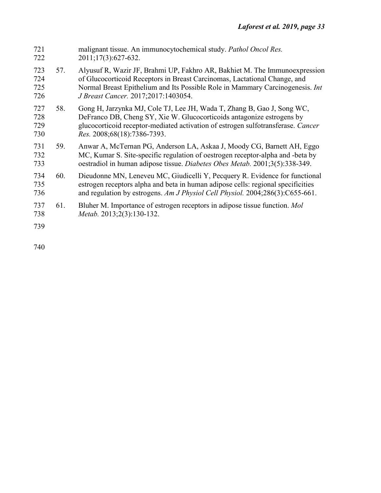| 721<br>722               |     | malignant tissue. An immunocytochemical study. Pathol Oncol Res.<br>2011;17(3):627-632.                                                                                                                                                                                         |
|--------------------------|-----|---------------------------------------------------------------------------------------------------------------------------------------------------------------------------------------------------------------------------------------------------------------------------------|
| 723<br>724<br>725<br>726 | 57. | Alyusuf R, Wazir JF, Brahmi UP, Fakhro AR, Bakhiet M. The Immunoexpression<br>of Glucocorticoid Receptors in Breast Carcinomas, Lactational Change, and<br>Normal Breast Epithelium and Its Possible Role in Mammary Carcinogenesis. Int<br>J Breast Cancer. 2017;2017:1403054. |
| 727<br>728<br>729<br>730 | 58. | Gong H, Jarzynka MJ, Cole TJ, Lee JH, Wada T, Zhang B, Gao J, Song WC,<br>DeFranco DB, Cheng SY, Xie W. Glucocorticoids antagonize estrogens by<br>glucocorticoid receptor-mediated activation of estrogen sulfotransferase. Cancer<br>Res. 2008;68(18):7386-7393.              |
| 731<br>732<br>733        | 59. | Anwar A, McTernan PG, Anderson LA, Askaa J, Moody CG, Barnett AH, Eggo<br>MC, Kumar S. Site-specific regulation of oestrogen receptor-alpha and -beta by<br>oestradiol in human adipose tissue. Diabetes Obes Metab. 2001;3(5):338-349.                                         |
| 734<br>735<br>736        | 60. | Dieudonne MN, Leneveu MC, Giudicelli Y, Pecquery R. Evidence for functional<br>estrogen receptors alpha and beta in human adipose cells: regional specificities<br>and regulation by estrogens. Am J Physiol Cell Physiol. 2004;286(3):C655-661.                                |
| 737<br>738               | 61. | Bluher M. Importance of estrogen receptors in adipose tissue function. Mol<br>Metab. 2013;2(3):130-132.                                                                                                                                                                         |
| 739                      |     |                                                                                                                                                                                                                                                                                 |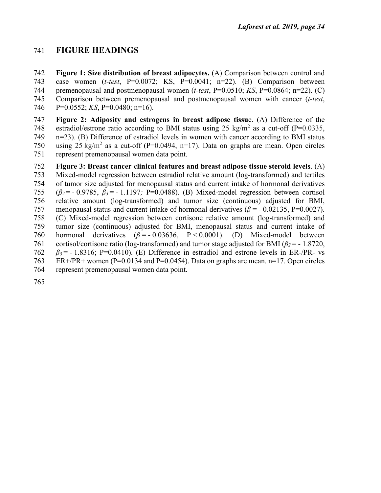### **FIGURE HEADINGS**

 **Figure 1: Size distribution of breast adipocytes.** (A) Comparison between control and case women (*t-test*, P=0.0072; KS, P=0.0041; n=22). (B) Comparison between premenopausal and postmenopausal women (*t-test*, P=0.0510; *KS*, P=0.0864; n=22). (C) Comparison between premenopausal and postmenopausal women with cancer (*t-test*, 746 P=0.0552; *KS*, P=0.0480; n=16).

 **Figure 2: Adiposity and estrogens in breast adipose tissu**e. (A) Difference of the 748 estradiol/estrone ratio according to BMI status using  $25 \text{ kg/m}^2$  as a cut-off (P=0.0335, n=23). (B) Difference of estradiol levels in women with cancer according to BMI status 750 using  $25 \text{ kg/m}^2$  as a cut-off (P=0.0494, n=17). Data on graphs are mean. Open circles represent premenopausal women data point.

 **Figure 3: Breast cancer clinical features and breast adipose tissue steroid levels**. (A) Mixed-model regression between estradiol relative amount (log-transformed) and tertiles of tumor size adjusted for menopausal status and current intake of hormonal derivatives (*β2* = - 0.9785, *β3* = - 1.1197*;* P=0.0488). (B) Mixed-model regression between cortisol relative amount (log-transformed) and tumor size (continuous) adjusted for BMI, 757 menopausal status and current intake of hormonal derivatives  $(\beta = -0.02135, P=0.0027)$ . (C) Mixed-model regression between cortisone relative amount (log-transformed) and tumor size (continuous) adjusted for BMI, menopausal status and current intake of hormonal derivatives (*β* = - 0.03636, P < 0.0001). (D) Mixed-model between 761 cortisol/cortisone ratio (log-transformed) and tumor stage adjusted for BMI ( $\beta_2$  = -1.8720,  $\beta_3$  = - 1.8316; P=0.0410). (E) Difference in estradiol and estrone levels in ER-/PR- vs ER+/PR+ women (P=0.0134 and P=0.0454). Data on graphs are mean. n=17. Open circles represent premenopausal women data point.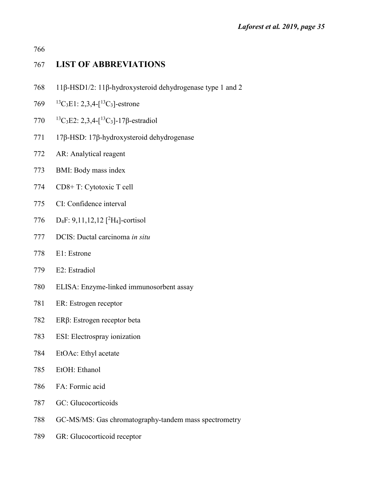### **LIST OF ABBREVIATIONS**

- 11β-HSD1/2: 11β-hydroxysteroid dehydrogenase type 1 and 2
- 769  ${}^{13}C_3E1: 2,3,4-[^{13}C_3]$ -estrone
- 770  ${}^{13}C_3E2$ : 2,3,4-[<sup>13</sup>C<sub>3</sub>]-17β-estradiol
- 17β-HSD: 17β-hydroxysteroid dehydrogenase
- AR: Analytical reagent
- BMI: Body mass index
- CD8+ T: Cytotoxic T cell
- CI: Confidence interval
- 776  $D_4F: 9,11,12,12 [^2H_4]-cortisol$
- DCIS: Ductal carcinoma *in situ*
- E1: Estrone
- E2: Estradiol
- ELISA: Enzyme-linked immunosorbent assay
- ER: Estrogen receptor
- ERβ: Estrogen receptor beta
- ESI: Electrospray ionization
- EtOAc: Ethyl acetate
- EtOH: Ethanol
- FA: Formic acid
- GC: Glucocorticoids
- GC-MS/MS: Gas chromatography-tandem mass spectrometry
- GR: Glucocorticoid receptor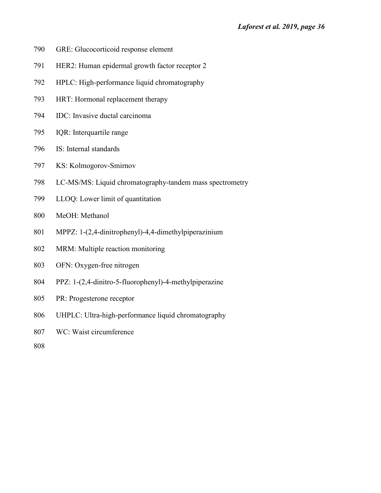- GRE: Glucocorticoid response element
- HER2: Human epidermal growth factor receptor 2
- HPLC: High-performance liquid chromatography
- HRT: Hormonal replacement therapy
- IDC: Invasive ductal carcinoma
- IQR: Interquartile range
- IS: Internal standards
- KS: Kolmogorov-Smirnov
- LC-MS/MS: Liquid chromatography-tandem mass spectrometry
- LLOQ: Lower limit of quantitation
- MeOH: Methanol
- MPPZ: 1-(2,4-dinitrophenyl)-4,4-dimethylpiperazinium
- MRM: Multiple reaction monitoring
- OFN: Oxygen-free nitrogen
- PPZ: 1-(2,4-dinitro-5-fluorophenyl)-4-methylpiperazine
- PR: Progesterone receptor
- UHPLC: Ultra-high-performance liquid chromatography
- WC: Waist circumference
-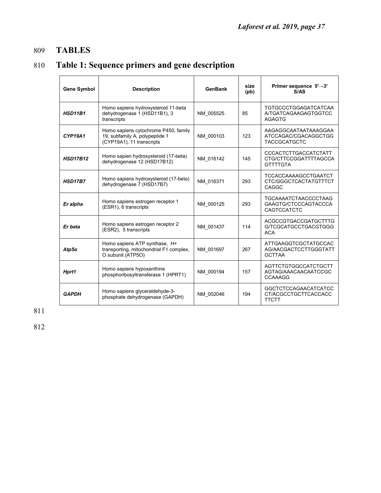## 809 **TABLES**

| <b>Gene Symbol</b><br><b>Description</b>                                                             |                                                                                                                  | <b>GenBank</b> | size<br>(pb) | Primer sequence $5' \rightarrow 3'$<br>S/AS                               |
|------------------------------------------------------------------------------------------------------|------------------------------------------------------------------------------------------------------------------|----------------|--------------|---------------------------------------------------------------------------|
| Homo sapiens hydroxysteroid 11-beta<br>dehydrogenase 1 (HSD11B1), 3<br><b>HSD11B1</b><br>transcripts |                                                                                                                  | NM 005525      | 85           | <b>TGTGCCCTGGAGATCATCAA</b><br>A/TGATCAGAAGAGTGGTCC<br><b>AGAGTG</b>      |
| CYP19A1                                                                                              | Homo sapiens cytochrome P450, family<br>19, subfamily A, polypeptide 1<br>NM 000103<br>(CYP19A1), 11 transcripts |                | 123          | AAGAGGCAATAATAAAGGAA<br>ATCCAGAC/CGACAGGCTGG<br><b>TACCGCATGCTC</b>       |
| <b>HSD17B12</b>                                                                                      | Homo sapien hydroxysteroid (17-beta)<br>dehydrogenase 12 (HSD17B12)                                              | NM 016142      | 145          | CCCACTCTTGACCATCTATT<br>CTG/CTTCCGGATTTTAGCCA<br><b>GTTTTGTA</b>          |
| <b>HSD17B7</b>                                                                                       | Homo sapiens hydroxysteroid (17-beta)<br>dehydrogenase 7 (HSD17B7)                                               | NM 016371      | 293          | <b>TCCACCAAAAGCCTGAATCT</b><br>CTC/GGGCTCACTATGTTTCT<br>CAGGC             |
| Er alpha                                                                                             | Homo sapiens estrogen receptor 1<br>(ESR1), 6 transcripts                                                        | NM 000125      | 293          | <b>TGCAAAATCTAACCCCTAAG</b><br>GAAGTG/CTCCCAGTACCCA<br><b>CAGTCCATCTC</b> |
| Er beta                                                                                              | Homo sapiens estrogen receptor 2<br>(ESR2), 5 transcripts                                                        | NM 001437      | 114          | ACGCCGTGACCGATGCTTTG<br>G/TCGCATGCCTGACGTGGG<br><b>ACA</b>                |
| Atp5o                                                                                                | Homo sapiens ATP synthase, H+<br>transporting, mitochondrial F1 complex,<br>O subunit (ATP5O)                    | NM 001697      | 267          | ATTGAAGGTCGCTATGCCAC<br>AG/AACGACTCCTTGGGTATT<br><b>GCTTAA</b>            |
| Hprt1                                                                                                | Homo sapiens hypoxanthine<br>phosphoribosyltransferase 1 (HPRT1)                                                 | NM 000194      | 157          | AGTTCTGTGGCCATCTGCTT<br>AGTAG/AAACAACAATCCGC<br><b>CCAAAGG</b>            |
| <b>GAPDH</b>                                                                                         | Homo sapiens glyceraldehyde-3-<br>phosphate dehydrogenase (GAPDH)                                                | NM 002046      | 194          | <b>GGCTCTCCAGAACATCATCC</b><br>CT/ACGCCTGCTTCACCACC<br><b>TTCTT</b>       |

## 810 **Table 1: Sequence primers and gene description**

811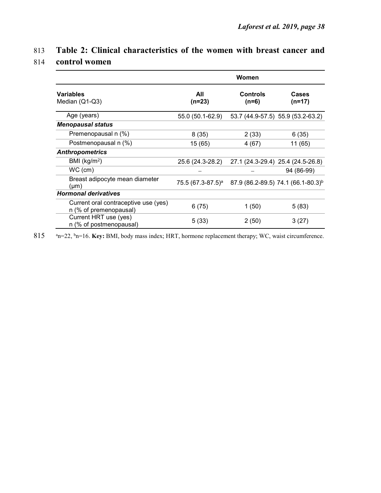### 813 **Table 2: Clinical characteristics of the women with breast cancer and**  814 **control women**

|                                                                |                               | Women                    |                                                |
|----------------------------------------------------------------|-------------------------------|--------------------------|------------------------------------------------|
| <b>Variables</b><br>Median (Q1-Q3)                             | All<br>$(n=23)$               | <b>Controls</b><br>(n=6) | <b>Cases</b><br>(n=17)                         |
| Age (years)                                                    | 55.0 (50.1-62.9)              |                          | 53.7 (44.9-57.5) 55.9 (53.2-63.2)              |
| <b>Menopausal status</b>                                       |                               |                          |                                                |
| Premenopausal n (%)                                            | 8(35)                         | 2(33)                    | 6(35)                                          |
| Postmenopausal n (%)                                           | 15 (65)                       | 4(67)                    | 11 (65)                                        |
| <b>Anthropometrics</b>                                         |                               |                          |                                                |
| BMI ( $kg/m2$ )                                                | 25.6 (24.3-28.2)              |                          | 27.1 (24.3-29.4) 25.4 (24.5-26.8)              |
| $WC$ (cm)                                                      |                               |                          | 94 (86-99)                                     |
| Breast adipocyte mean diameter<br>$(\mu m)$                    | 75.5 (67.3-87.5) <sup>a</sup> |                          | 87.9 (86.2-89.5) 74.1 (66.1-80.3) <sup>b</sup> |
| <b>Hormonal derivatives</b>                                    |                               |                          |                                                |
| Current oral contraceptive use (yes)<br>n (% of premenopausal) | 6(75)                         | 1(50)                    | 5(83)                                          |
| Current HRT use (yes)<br>n (% of postmenopausal)               | 5(33)                         | 2(50)                    | 3(27)                                          |

815 <sup>a</sup>n=22, <sup>b</sup>n=16. **Key:** BMI, body mass index; HRT, hormone replacement therapy; WC, waist circumference.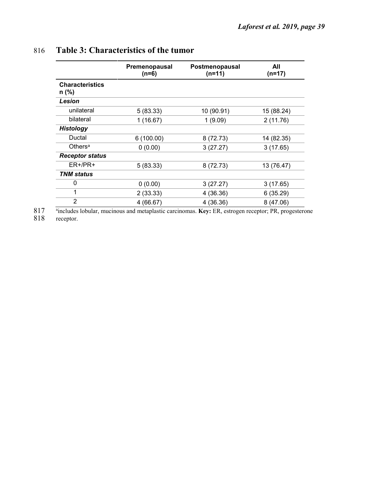|                                   | <b>Premenopausal</b><br>$(n=6)$ | Postmenopausal<br>(n=11) | All<br>(n=17) |
|-----------------------------------|---------------------------------|--------------------------|---------------|
| <b>Characteristics</b><br>$n$ (%) |                                 |                          |               |
| Lesion                            |                                 |                          |               |
| unilateral                        | 5(83.33)                        | 10 (90.91)               | 15 (88.24)    |
| bilateral                         | 1(16.67)                        | 1(9.09)                  | 2(11.76)      |
| <b>Histology</b>                  |                                 |                          |               |
| Ductal                            | 6(100.00)                       | 8(72.73)                 | 14 (82.35)    |
| Others <sup>a</sup>               | 0(0.00)                         | 3(27.27)                 | 3(17.65)      |
| <b>Receptor status</b>            |                                 |                          |               |
| $ER+/PR+$                         | 5(83.33)                        | 8(72.73)                 | 13 (76.47)    |
| <b>TNM status</b>                 |                                 |                          |               |
| 0                                 | 0(0.00)                         | 3(27.27)                 | 3(17.65)      |
| 1                                 | 2(33.33)                        | 4 (36.36)                | 6(35.29)      |
| 2                                 | 4(66.67)                        | 4(36.36)                 | 8(47.06)      |

### 816 **Table 3: Characteristics of the tumor**

<sup>a</sup> 817 includes lobular, mucinous and metaplastic carcinomas. **Key:** ER, estrogen receptor; PR, progesterone

receptor.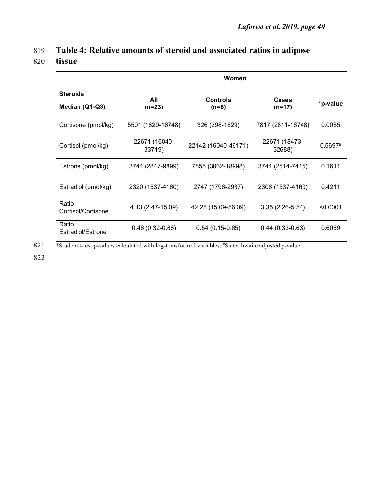## 819 **Table 4: Relative amounts of steroid and associated ratios in adipose**

### 820 **tissue**

|                                   | Women                   |                            |                          |           |
|-----------------------------------|-------------------------|----------------------------|--------------------------|-----------|
| <b>Steroids</b><br>Median (Q1-Q3) | All<br>$(n=23)$         | <b>Controls</b><br>$(n=6)$ | <b>Cases</b><br>$(n=17)$ | *p-value  |
| Cortisone (pmol/kg)               | 5501 (1829-16748)       | 326 (298-1829)             | 7817 (2811-16748)        | 0.0055    |
| Cortisol (pmol/kg)                | 22671 (16040-<br>33719) | 22142 (16040-46171)        | 22671 (18473-<br>32688)  | $0.5697*$ |
| Estrone (pmol/kg)                 | 3744 (2847-9899)        | 7855 (3062-18998)          | 3744 (2514-7415)         | 0.1611    |
| Estradiol (pmol/kg)               | 2320 (1537-4160)        | 2747 (1796-2937)           | 2306 (1537-4160)         | 0.4211    |
| Ratio<br>Cortisol/Cortisone       | 4.13 (2.47-15.09)       | 42.28 (15.09-56.09)        | $3.35(2.26-5.54)$        | < 0.0001  |
| Ratio<br>Estradiol/Estrone        | $0.46(0.32-0.66)$       | $0.54(0.15-0.65)$          | $0.44(0.33-0.63)$        | 0.6059    |

\*Student t-test p-values calculated with log-transformed variables. # Satterthwaite adjusted p-value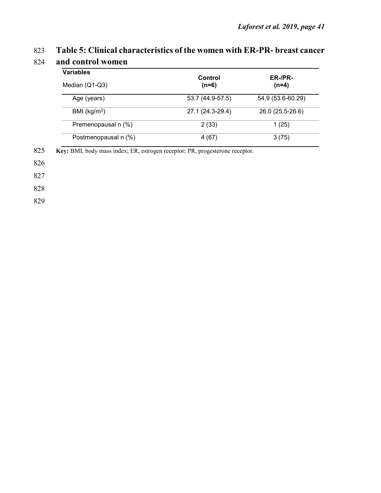# 823 **Table 5: Clinical characteristics of the women with ER-PR- breast cancer**

| 824 |  |  | and control women |
|-----|--|--|-------------------|
|-----|--|--|-------------------|

| <b>Variables</b><br>Median (Q1-Q3) | Control<br>$(n=6)$ | ER-/PR-<br>$(n=4)$ |
|------------------------------------|--------------------|--------------------|
|                                    |                    |                    |
| BMI ( $kg/m2$ )                    | 27.1 (24.3-29.4)   | 26.0 (25.5-26.6)   |
| Premenopausal n (%)                | 2(33)              | 1(25)              |
| Postmenopausal n (%)               | 4(67)              | 3(75)              |

826

827

828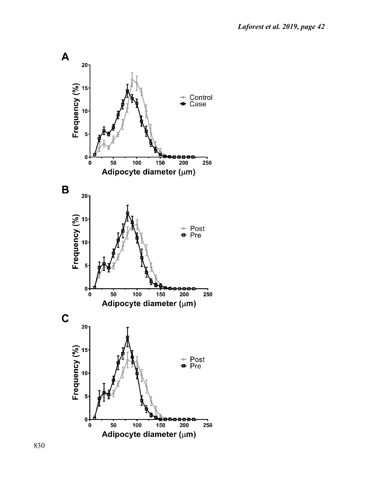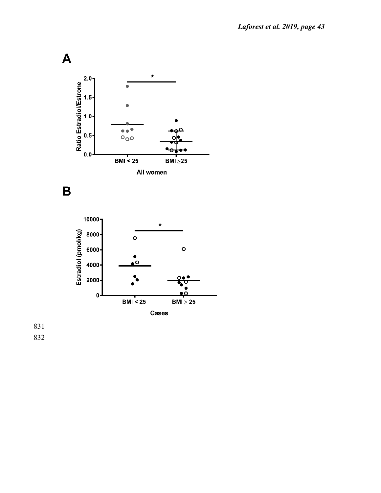

 $\mathbf B$